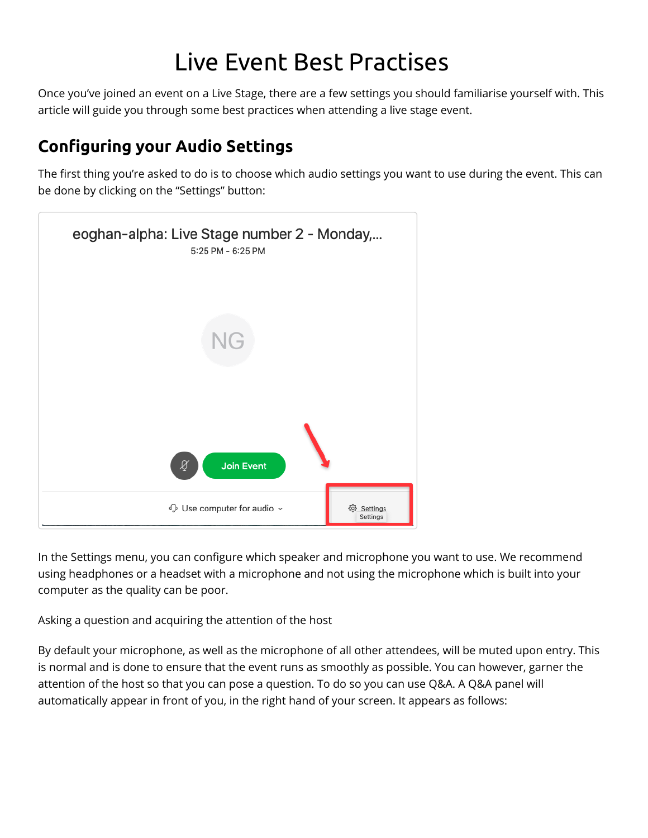## Live Event Best Practises

Once you've joined an event on a Live Stage, there are a few settings you should familiarise yourself with. This article will guide you through some best practices when attending a live stage event.

## **Conguring your Audio Settings**

The first thing you're asked to do is to choose which audio settings you want to use during the event. This can be done by clicking on the "Settings" button:



In the Settings menu, you can configure which speaker and microphone you want to use. We recommend using headphones or a headset with a microphone and not using the microphone which is built into your computer as the quality can be poor.

Asking a question and acquiring the attention of the host

By default your microphone, as well as the microphone of all other attendees, will be muted upon entry. This is normal and is done to ensure that the event runs as smoothly as possible. You can however, garner the attention of the host so that you can pose a question. To do so you can use Q&A. A Q&A panel will automatically appear in front of you, in the right hand of your screen. It appears as follows: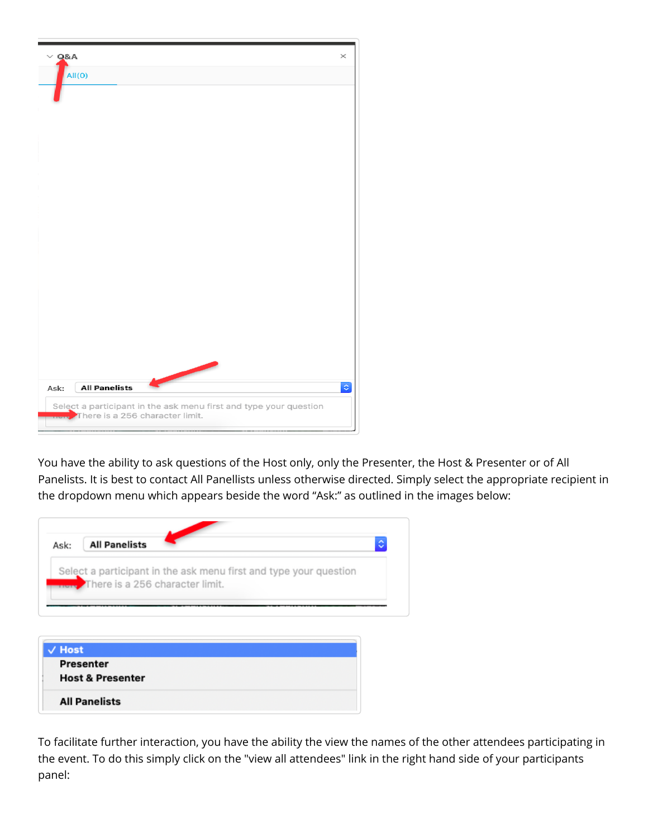

You have the ability to ask questions of the Host only, only the Presenter, the Host & Presenter or of All Panelists. It is best to contact All Panellists unless otherwise directed. Simply select the appropriate recipient in the dropdown menu which appears beside the word "Ask:" as outlined in the images below:



To facilitate further interaction, you have the ability the view the names of the other attendees participating in the event. To do this simply click on the "view all attendees" link in the right hand side of your participants panel: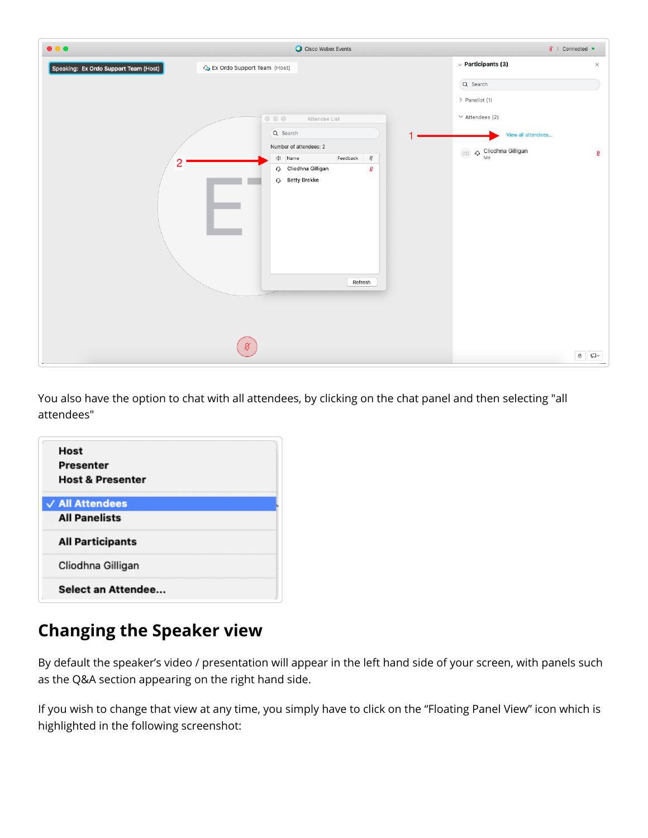| $\bullet\bullet\bullet$               | Cisco Webex Events                                                             | Ø   Connected ●        |                           |
|---------------------------------------|--------------------------------------------------------------------------------|------------------------|---------------------------|
| Speaking: Ex Ordo Support Team (Host) | C <sub>2</sub> Ex Ordo Support Team (Host)                                     |                        | $\times$                  |
|                                       |                                                                                | Q Search               |                           |
|                                       |                                                                                | > Panelist (1)         |                           |
|                                       | $\begin{array}{ccc} \circ & \circ & \circ \end{array}$<br>Attendee List        | $\vee$ Attendees (2)   |                           |
|                                       | Q Search                                                                       | View all attendees     |                           |
|                                       | Number of attendees: 2<br>$\mathcal{L}$<br>$\triangleleft$<br>Name<br>Feedback | CG O Cliodhna Gilligan | ł                         |
| 2                                     | Cliodhna Gilligan<br>Ø                                                         |                        |                           |
|                                       | <b>Q</b> Betty Brekke<br>Refresh                                               |                        |                           |
|                                       | ø                                                                              |                        | $\mathbb{R}$ $\mathbb{C}$ |

You also have the option to chat with all attendees, by clicking on the chat panel and then selecting "all attendees"

## **Changing the Speaker view**

By default the speaker's video / presentation will appear in the left hand side of your screen, with panels such as the Q&A section appearing on the right hand side.

If you wish to change that view at any time, you simply have to click on the "Floating Panel View" icon which is highlighted in the following screenshot: